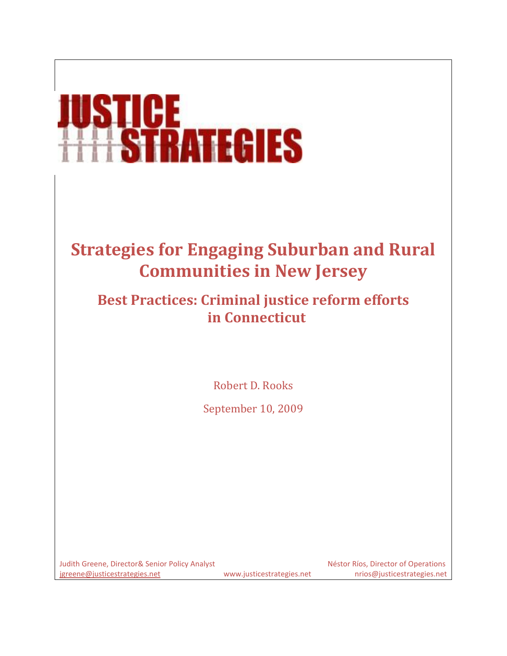# **STICE**<br>HSTRATEGIES

# **Strategies for Engaging Suburban and Rural Communities in New Jersey**

# **Best Practices: Criminal justice reform efforts in Connecticut**

Robert D. Rooks

September 10, 2009

Judith Greene, Director& Senior Policy Analyst Nessential Analyst Néstor Ríos, Director of Operations [jgreene@justicestrategies.net](mailto:jgreene@justicestrategies.net) www.justicestrategies.net nrios@justicestrategies.net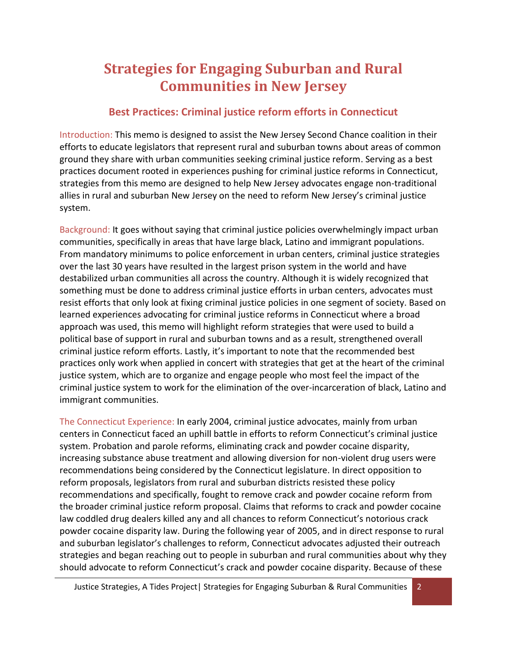# **Strategies for Engaging Suburban and Rural Communities in New Jersey**

### **Best Practices: Criminal justice reform efforts in Connecticut**

Introduction: This memo is designed to assist the New Jersey Second Chance coalition in their efforts to educate legislators that represent rural and suburban towns about areas of common ground they share with urban communities seeking criminal justice reform. Serving as a best practices document rooted in experiences pushing for criminal justice reforms in Connecticut, strategies from this memo are designed to help New Jersey advocates engage non-traditional allies in rural and suburban New Jersey on the need to reform New Jersey's criminal justice system.

Background: It goes without saying that criminal justice policies overwhelmingly impact urban communities, specifically in areas that have large black, Latino and immigrant populations. From mandatory minimums to police enforcement in urban centers, criminal justice strategies over the last 30 years have resulted in the largest prison system in the world and have destabilized urban communities all across the country. Although it is widely recognized that something must be done to address criminal justice efforts in urban centers, advocates must resist efforts that only look at fixing criminal justice policies in one segment of society. Based on learned experiences advocating for criminal justice reforms in Connecticut where a broad approach was used, this memo will highlight reform strategies that were used to build a political base of support in rural and suburban towns and as a result, strengthened overall criminal justice reform efforts. Lastly, it's important to note that the recommended best practices only work when applied in concert with strategies that get at the heart of the criminal justice system, which are to organize and engage people who most feel the impact of the criminal justice system to work for the elimination of the over-incarceration of black, Latino and immigrant communities.

The Connecticut Experience: In early 2004, criminal justice advocates, mainly from urban centers in Connecticut faced an uphill battle in efforts to reform Connecticut's criminal justice system. Probation and parole reforms, eliminating crack and powder cocaine disparity, increasing substance abuse treatment and allowing diversion for non-violent drug users were recommendations being considered by the Connecticut legislature. In direct opposition to reform proposals, legislators from rural and suburban districts resisted these policy recommendations and specifically, fought to remove crack and powder cocaine reform from the broader criminal justice reform proposal. Claims that reforms to crack and powder cocaine law coddled drug dealers killed any and all chances to reform Connecticut's notorious crack powder cocaine disparity law. During the following year of 2005, and in direct response to rural and suburban legislator's challenges to reform, Connecticut advocates adjusted their outreach strategies and began reaching out to people in suburban and rural communities about why they should advocate to reform Connecticut's crack and powder cocaine disparity. Because of these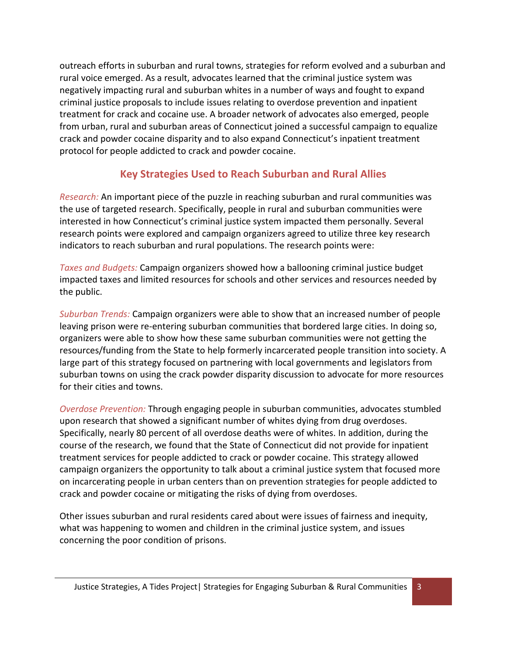outreach efforts in suburban and rural towns, strategies for reform evolved and a suburban and rural voice emerged. As a result, advocates learned that the criminal justice system was negatively impacting rural and suburban whites in a number of ways and fought to expand criminal justice proposals to include issues relating to overdose prevention and inpatient treatment for crack and cocaine use. A broader network of advocates also emerged, people from urban, rural and suburban areas of Connecticut joined a successful campaign to equalize crack and powder cocaine disparity and to also expand Connecticut's inpatient treatment protocol for people addicted to crack and powder cocaine.

### **Key Strategies Used to Reach Suburban and Rural Allies**

*Research:* An important piece of the puzzle in reaching suburban and rural communities was the use of targeted research. Specifically, people in rural and suburban communities were interested in how Connecticut's criminal justice system impacted them personally. Several research points were explored and campaign organizers agreed to utilize three key research indicators to reach suburban and rural populations. The research points were:

*Taxes and Budgets:* Campaign organizers showed how a ballooning criminal justice budget impacted taxes and limited resources for schools and other services and resources needed by the public.

*Suburban Trends:* Campaign organizers were able to show that an increased number of people leaving prison were re-entering suburban communities that bordered large cities. In doing so, organizers were able to show how these same suburban communities were not getting the resources/funding from the State to help formerly incarcerated people transition into society. A large part of this strategy focused on partnering with local governments and legislators from suburban towns on using the crack powder disparity discussion to advocate for more resources for their cities and towns.

*Overdose Prevention:* Through engaging people in suburban communities, advocates stumbled upon research that showed a significant number of whites dying from drug overdoses. Specifically, nearly 80 percent of all overdose deaths were of whites. In addition, during the course of the research, we found that the State of Connecticut did not provide for inpatient treatment services for people addicted to crack or powder cocaine. This strategy allowed campaign organizers the opportunity to talk about a criminal justice system that focused more on incarcerating people in urban centers than on prevention strategies for people addicted to crack and powder cocaine or mitigating the risks of dying from overdoses.

Other issues suburban and rural residents cared about were issues of fairness and inequity, what was happening to women and children in the criminal justice system, and issues concerning the poor condition of prisons.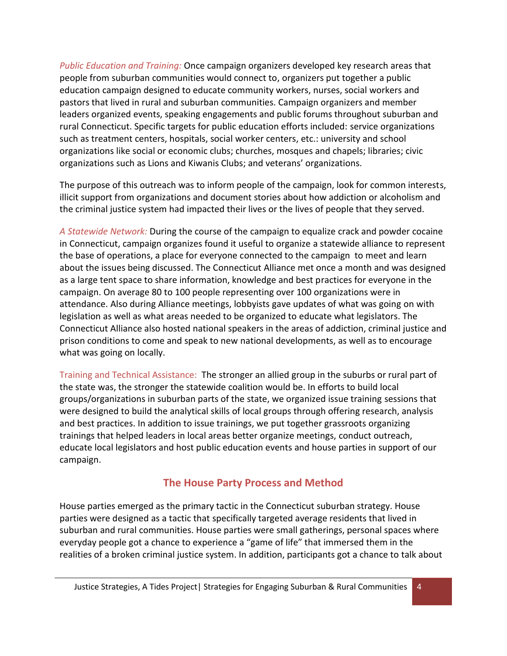*Public Education and Training:* Once campaign organizers developed key research areas that people from suburban communities would connect to, organizers put together a public education campaign designed to educate community workers, nurses, social workers and pastors that lived in rural and suburban communities. Campaign organizers and member leaders organized events, speaking engagements and public forums throughout suburban and rural Connecticut. Specific targets for public education efforts included: service organizations such as treatment centers, hospitals, social worker centers, etc.: university and school organizations like social or economic clubs; churches, mosques and chapels; libraries; civic organizations such as Lions and Kiwanis Clubs; and veterans' organizations.

The purpose of this outreach was to inform people of the campaign, look for common interests, illicit support from organizations and document stories about how addiction or alcoholism and the criminal justice system had impacted their lives or the lives of people that they served.

*A Statewide Network:* During the course of the campaign to equalize crack and powder cocaine in Connecticut, campaign organizes found it useful to organize a statewide alliance to represent the base of operations, a place for everyone connected to the campaign to meet and learn about the issues being discussed. The Connecticut Alliance met once a month and was designed as a large tent space to share information, knowledge and best practices for everyone in the campaign. On average 80 to 100 people representing over 100 organizations were in attendance. Also during Alliance meetings, lobbyists gave updates of what was going on with legislation as well as what areas needed to be organized to educate what legislators. The Connecticut Alliance also hosted national speakers in the areas of addiction, criminal justice and prison conditions to come and speak to new national developments, as well as to encourage what was going on locally.

Training and Technical Assistance: The stronger an allied group in the suburbs or rural part of the state was, the stronger the statewide coalition would be. In efforts to build local groups/organizations in suburban parts of the state, we organized issue training sessions that were designed to build the analytical skills of local groups through offering research, analysis and best practices. In addition to issue trainings, we put together grassroots organizing trainings that helped leaders in local areas better organize meetings, conduct outreach, educate local legislators and host public education events and house parties in support of our campaign.

### **The House Party Process and Method**

House parties emerged as the primary tactic in the Connecticut suburban strategy. House parties were designed as a tactic that specifically targeted average residents that lived in suburban and rural communities. House parties were small gatherings, personal spaces where everyday people got a chance to experience a "game of life" that immersed them in the realities of a broken criminal justice system. In addition, participants got a chance to talk about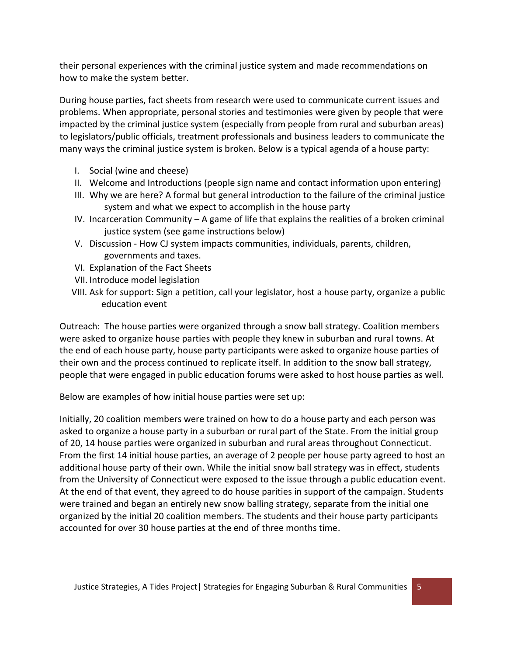their personal experiences with the criminal justice system and made recommendations on how to make the system better.

During house parties, fact sheets from research were used to communicate current issues and problems. When appropriate, personal stories and testimonies were given by people that were impacted by the criminal justice system (especially from people from rural and suburban areas) to legislators/public officials, treatment professionals and business leaders to communicate the many ways the criminal justice system is broken. Below is a typical agenda of a house party:

- I. Social (wine and cheese)
- II. Welcome and Introductions (people sign name and contact information upon entering)
- III. Why we are here? A formal but general introduction to the failure of the criminal justice system and what we expect to accomplish in the house party
- IV. Incarceration Community A game of life that explains the realities of a broken criminal justice system (see game instructions below)
- V. Discussion How CJ system impacts communities, individuals, parents, children, governments and taxes.
- VI. Explanation of the Fact Sheets
- VII. Introduce model legislation
- VIII. Ask for support: Sign a petition, call your legislator, host a house party, organize a public education event

Outreach: The house parties were organized through a snow ball strategy. Coalition members were asked to organize house parties with people they knew in suburban and rural towns. At the end of each house party, house party participants were asked to organize house parties of their own and the process continued to replicate itself. In addition to the snow ball strategy, people that were engaged in public education forums were asked to host house parties as well.

Below are examples of how initial house parties were set up:

Initially, 20 coalition members were trained on how to do a house party and each person was asked to organize a house party in a suburban or rural part of the State. From the initial group of 20, 14 house parties were organized in suburban and rural areas throughout Connecticut. From the first 14 initial house parties, an average of 2 people per house party agreed to host an additional house party of their own. While the initial snow ball strategy was in effect, students from the University of Connecticut were exposed to the issue through a public education event. At the end of that event, they agreed to do house parities in support of the campaign. Students were trained and began an entirely new snow balling strategy, separate from the initial one organized by the initial 20 coalition members. The students and their house party participants accounted for over 30 house parties at the end of three months time.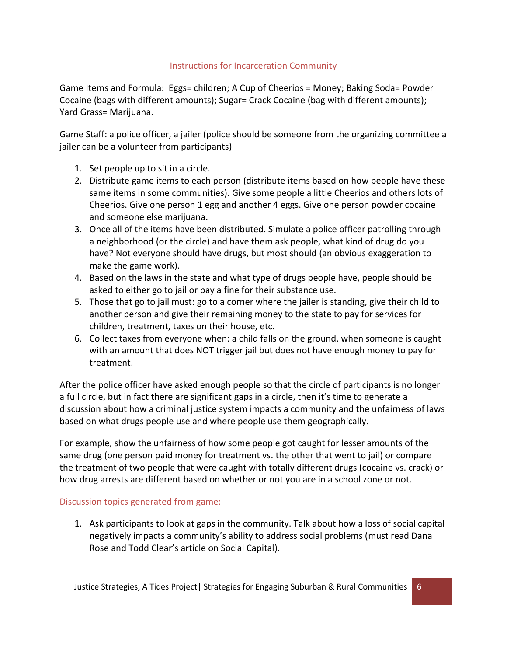### Instructions for Incarceration Community

Game Items and Formula: Eggs= children; A Cup of Cheerios = Money; Baking Soda= Powder Cocaine (bags with different amounts); Sugar= Crack Cocaine (bag with different amounts); Yard Grass= Marijuana.

Game Staff: a police officer, a jailer (police should be someone from the organizing committee a jailer can be a volunteer from participants)

- 1. Set people up to sit in a circle.
- 2. Distribute game items to each person (distribute items based on how people have these same items in some communities). Give some people a little Cheerios and others lots of Cheerios. Give one person 1 egg and another 4 eggs. Give one person powder cocaine and someone else marijuana.
- 3. Once all of the items have been distributed. Simulate a police officer patrolling through a neighborhood (or the circle) and have them ask people, what kind of drug do you have? Not everyone should have drugs, but most should (an obvious exaggeration to make the game work).
- 4. Based on the laws in the state and what type of drugs people have, people should be asked to either go to jail or pay a fine for their substance use.
- 5. Those that go to jail must: go to a corner where the jailer is standing, give their child to another person and give their remaining money to the state to pay for services for children, treatment, taxes on their house, etc.
- 6. Collect taxes from everyone when: a child falls on the ground, when someone is caught with an amount that does NOT trigger jail but does not have enough money to pay for treatment.

After the police officer have asked enough people so that the circle of participants is no longer a full circle, but in fact there are significant gaps in a circle, then it's time to generate a discussion about how a criminal justice system impacts a community and the unfairness of laws based on what drugs people use and where people use them geographically.

For example, show the unfairness of how some people got caught for lesser amounts of the same drug (one person paid money for treatment vs. the other that went to jail) or compare the treatment of two people that were caught with totally different drugs (cocaine vs. crack) or how drug arrests are different based on whether or not you are in a school zone or not.

### Discussion topics generated from game:

1. Ask participants to look at gaps in the community. Talk about how a loss of social capital negatively impacts a community's ability to address social problems (must read Dana Rose and Todd Clear's article on Social Capital).